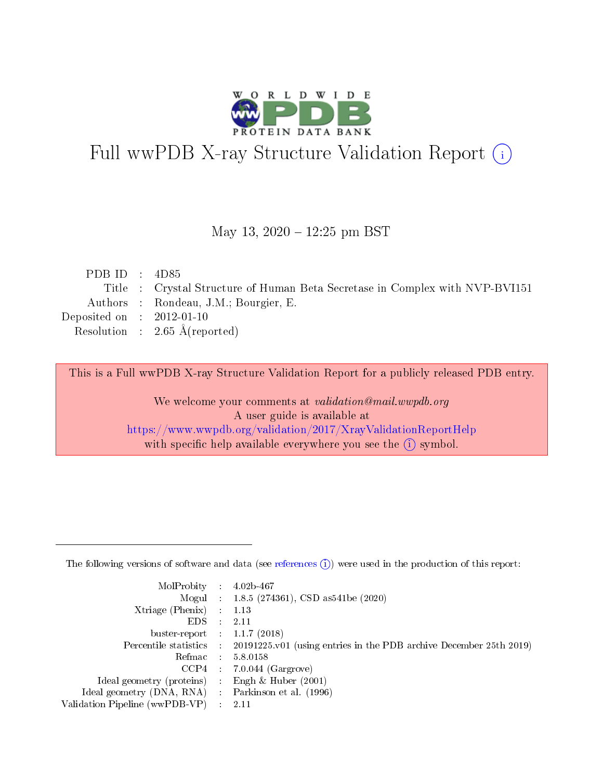

# Full wwPDB X-ray Structure Validation Report (i)

#### May 13,  $2020 - 12:25$  pm BST

| PDB ID : $4D85$             |                                                                              |
|-----------------------------|------------------------------------------------------------------------------|
|                             | Title : Crystal Structure of Human Beta Secretase in Complex with NVP-BVI151 |
|                             | Authors : Rondeau, J.M.; Bourgier, E.                                        |
| Deposited on : $2012-01-10$ |                                                                              |
|                             | Resolution : $2.65 \text{ Å}$ (reported)                                     |
|                             |                                                                              |

This is a Full wwPDB X-ray Structure Validation Report for a publicly released PDB entry.

We welcome your comments at validation@mail.wwpdb.org A user guide is available at <https://www.wwpdb.org/validation/2017/XrayValidationReportHelp> with specific help available everywhere you see the  $(i)$  symbol.

The following versions of software and data (see [references](https://www.wwpdb.org/validation/2017/XrayValidationReportHelp#references)  $(1)$ ) were used in the production of this report:

| MolProbity :                   |               | $4.02b - 467$                                                               |
|--------------------------------|---------------|-----------------------------------------------------------------------------|
|                                |               | Mogul : $1.8.5$ (274361), CSD as 541be (2020)                               |
| $X$ triage (Phenix) :          |               | 1.13                                                                        |
| EDS.                           |               | 2.11                                                                        |
| buster-report : $1.1.7$ (2018) |               |                                                                             |
| Percentile statistics :        |               | $20191225 \text{v}01$ (using entries in the PDB archive December 25th 2019) |
| Refmac :                       |               | 5.8.0158                                                                    |
| $CCP4$ :                       |               | $7.0.044$ (Gargrove)                                                        |
| Ideal geometry (proteins) :    |               | Engh $\&$ Huber (2001)                                                      |
| Ideal geometry (DNA, RNA) :    |               | Parkinson et al. (1996)                                                     |
| Validation Pipeline (wwPDB-VP) | $\mathcal{L}$ | 2.11                                                                        |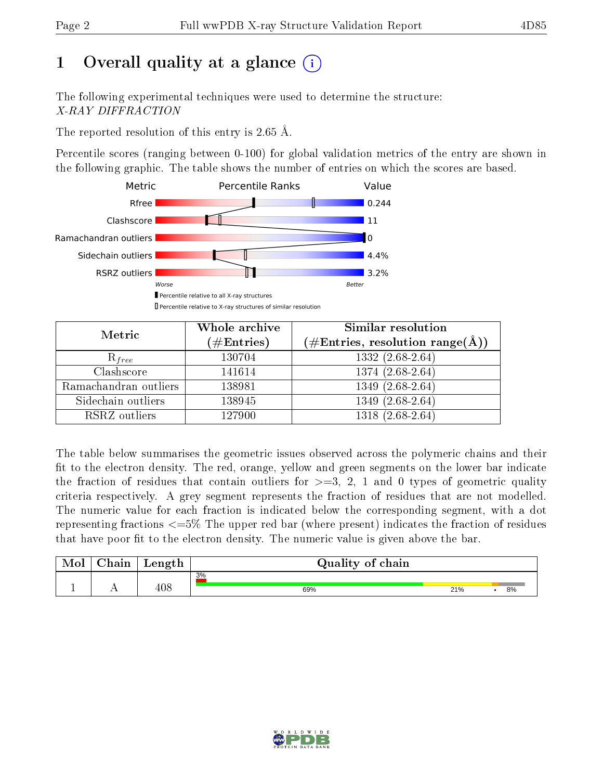# 1 [O](https://www.wwpdb.org/validation/2017/XrayValidationReportHelp#overall_quality)verall quality at a glance  $(i)$

The following experimental techniques were used to determine the structure: X-RAY DIFFRACTION

The reported resolution of this entry is 2.65 Å.

Percentile scores (ranging between 0-100) for global validation metrics of the entry are shown in the following graphic. The table shows the number of entries on which the scores are based.



| Metric                | Whole archive<br>$(\#\mathrm{Entries})$ | Similar resolution<br>$(\#\text{Entries}, \text{resolution range}(\text{\AA}))$ |
|-----------------------|-----------------------------------------|---------------------------------------------------------------------------------|
| $R_{free}$            | 130704                                  | $1332(2.68-2.64)$                                                               |
| Clashscore            | 141614                                  | $1374(2.68-2.64)$                                                               |
| Ramachandran outliers | 138981                                  | $1349(2.68-2.64)$                                                               |
| Sidechain outliers    | 138945                                  | 1349 (2.68-2.64)                                                                |
| RSRZ outliers         | 127900                                  | 1318 (2.68-2.64)                                                                |

The table below summarises the geometric issues observed across the polymeric chains and their fit to the electron density. The red, orange, yellow and green segments on the lower bar indicate the fraction of residues that contain outliers for  $>=3, 2, 1$  and 0 types of geometric quality criteria respectively. A grey segment represents the fraction of residues that are not modelled. The numeric value for each fraction is indicated below the corresponding segment, with a dot representing fractions  $\epsilon=5\%$  The upper red bar (where present) indicates the fraction of residues that have poor fit to the electron density. The numeric value is given above the bar.

| Mol | $\gamma$ hain | Length | Quality of chain |     |    |
|-----|---------------|--------|------------------|-----|----|
|     |               |        | 3%               |     |    |
|     |               | 408    | 69%              | 21% | 8% |

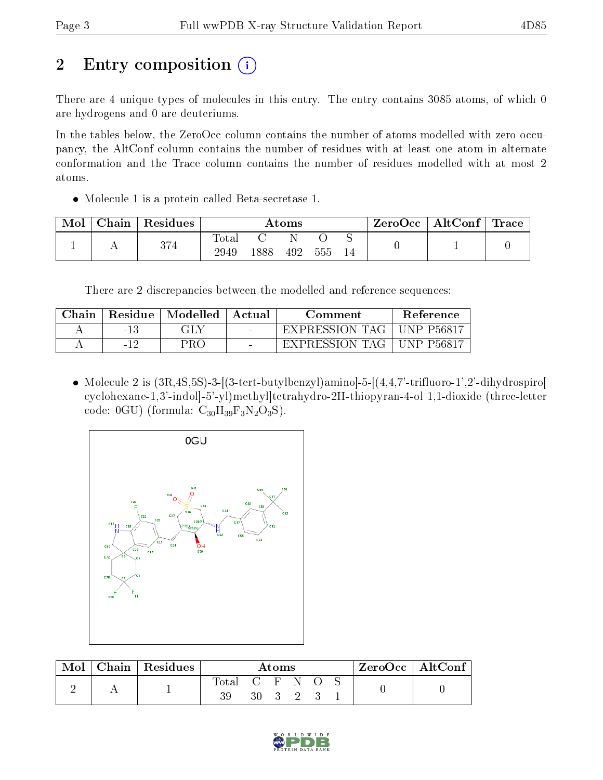# 2 Entry composition (i)

There are 4 unique types of molecules in this entry. The entry contains 3085 atoms, of which 0 are hydrogens and 0 are deuteriums.

In the tables below, the ZeroOcc column contains the number of atoms modelled with zero occupancy, the AltConf column contains the number of residues with at least one atom in alternate conformation and the Trace column contains the number of residues modelled with at most 2 atoms.

Molecule 1 is a protein called Beta-secretase 1.

| Mol | Chain | Residues | Atoms         |      |     |     | ZeroOcc | $\mid$ AltConf $\mid$ | $\operatorname{Trace}$ |  |
|-----|-------|----------|---------------|------|-----|-----|---------|-----------------------|------------------------|--|
|     |       | 374      | Totar<br>2949 | 1888 | 492 | 555 | 14      |                       |                        |  |

There are 2 discrepancies between the modelled and reference sequences:

| Chain |            | Residue   Modelled | ' Actual | Comment        | Reference          |
|-------|------------|--------------------|----------|----------------|--------------------|
|       | -13        | GLY                |          | EXPRESSION TAG | UNP P56817         |
|       | $-1^\circ$ | PRO                | $\sim$   | EXPRESSION TAG | <b>LINP P56817</b> |

 $\bullet$  Molecule 2 is  $(3R, 4S, 5S)$ -3- $[(3-$ tert-butylbenzyl)amino $]-5-[(4,4,7)-$ trifluoro-1',2'-dihydrospiro cyclohexane-1,3'-indol]-5'-yl)methyl]tetrahydro-2H-thiopyran-4-ol 1,1-dioxide (three-letter code: 0GU) (formula:  $C_{30}H_{39}F_3N_2O_3S$ ).



| Mol | $Chain   Residues$ | Atoms       |               |  |       | $\lq$ ZeroOcc   AltConf |  |  |  |
|-----|--------------------|-------------|---------------|--|-------|-------------------------|--|--|--|
|     |                    | Total<br>39 | C F N O<br>30 |  | 3 2 3 |                         |  |  |  |

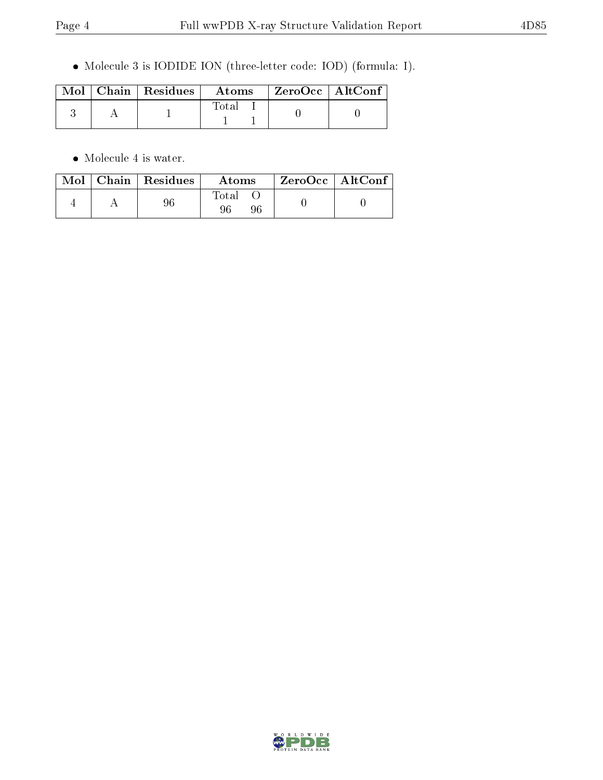Molecule 3 is IODIDE ION (three-letter code: IOD) (formula: I).

|  | $\text{Mol}$   Chain   Residues | $\boldsymbol{\mathrm{Atoms}}$ | $\rm ZeroOcc \mid AltConf$ |  |
|--|---------------------------------|-------------------------------|----------------------------|--|
|  |                                 | <b>Total</b>                  |                            |  |

 $\bullet\,$  Molecule 4 is water.

|  | $Mol$   Chain   Residues | Atoms             | $ZeroOcc \mid AltConf \mid$ |
|--|--------------------------|-------------------|-----------------------------|
|  |                          | $\rm Total$<br>96 |                             |

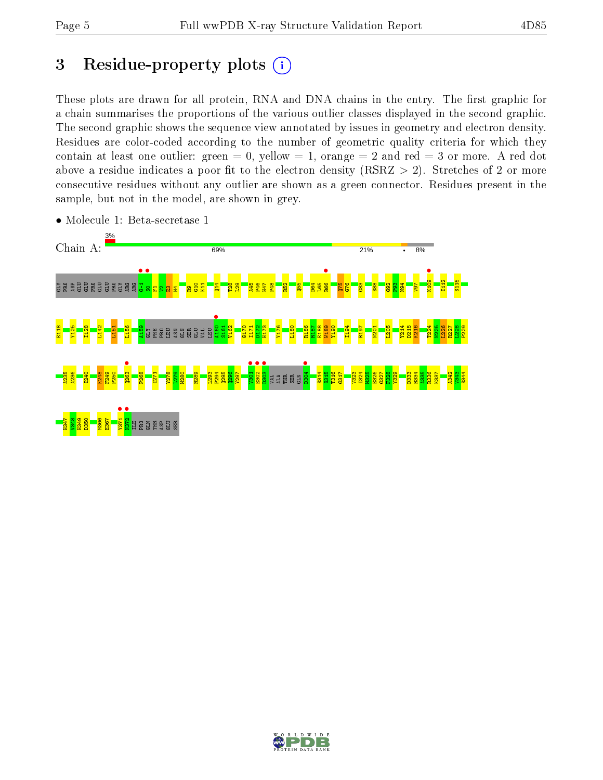## 3 Residue-property plots  $(i)$

These plots are drawn for all protein, RNA and DNA chains in the entry. The first graphic for a chain summarises the proportions of the various outlier classes displayed in the second graphic. The second graphic shows the sequence view annotated by issues in geometry and electron density. Residues are color-coded according to the number of geometric quality criteria for which they contain at least one outlier: green  $= 0$ , yellow  $= 1$ , orange  $= 2$  and red  $= 3$  or more. A red dot above a residue indicates a poor fit to the electron density (RSRZ  $> 2$ ). Stretches of 2 or more consecutive residues without any outlier are shown as a green connector. Residues present in the sample, but not in the model, are shown in grey.



• Molecule 1: Beta-secretase 1

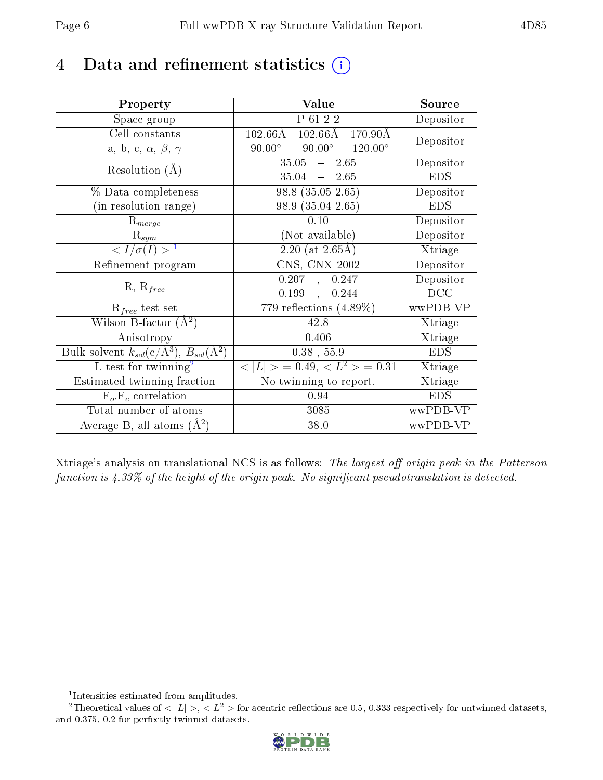## 4 Data and refinement statistics  $(i)$

| Property                                                         | Value                                                          | Source     |
|------------------------------------------------------------------|----------------------------------------------------------------|------------|
| Space group                                                      | P 61 2 2                                                       | Depositor  |
| Cell constants                                                   | $102.66\text{\AA}$<br>$102.66\text{\AA}$<br>$170.90\text{\AA}$ |            |
| a, b, c, $\alpha$ , $\beta$ , $\gamma$                           | $90.00^\circ$<br>$90.00^\circ$<br>$120.00^{\circ}$             | Depositor  |
| Resolution $(A)$                                                 | $35.05 - 2.65$                                                 | Depositor  |
|                                                                  | $35.04 = 2.65$                                                 | <b>EDS</b> |
| % Data completeness                                              | $98.8(35.05-2.65)$                                             | Depositor  |
| (in resolution range)                                            | 98.9 (35.04-2.65)                                              | <b>EDS</b> |
| $R_{merge}$                                                      | 0.10                                                           | Depositor  |
| $\mathrm{R}_{sym}$                                               | (Not available)                                                | Depositor  |
| $\langle I/\sigma(I) \rangle^{-1}$                               | $2.20$ (at 2.65Å)                                              | Xtriage    |
| Refinement program                                               | CNS, CNX 2002                                                  | Depositor  |
| $R, R_{free}$                                                    | 0.207<br>0.247<br>$\mathbf{A}$                                 | Depositor  |
|                                                                  | 0.199,<br>0.244                                                | DCC        |
| $R_{free}$ test set                                              | 779 reflections $(4.89\%)$                                     | wwPDB-VP   |
| Wilson B-factor $(A^2)$                                          | 42.8                                                           | Xtriage    |
| Anisotropy                                                       | 0.406                                                          | Xtriage    |
| Bulk solvent $k_{sol}(\text{e}/\text{A}^3), B_{sol}(\text{A}^2)$ | $0.38$ , 55.9                                                  | <b>EDS</b> |
| L-test for $\mathrm{twinning}^2$                                 | $< L >$ = 0.49, $< L2$ = 0.31                                  | Xtriage    |
| Estimated twinning fraction                                      | $\overline{\text{No}}$ twinning to report.                     | Xtriage    |
| $F_o, F_c$ correlation                                           | 0.94                                                           | <b>EDS</b> |
| Total number of atoms                                            | 3085                                                           | wwPDB-VP   |
| Average B, all atoms $(A^2)$                                     | 38.0                                                           | wwPDB-VP   |

Xtriage's analysis on translational NCS is as follows: The largest off-origin peak in the Patterson function is  $4.33\%$  of the height of the origin peak. No significant pseudotranslation is detected.

<sup>&</sup>lt;sup>2</sup>Theoretical values of  $\langle |L| \rangle$ ,  $\langle L^2 \rangle$  for acentric reflections are 0.5, 0.333 respectively for untwinned datasets, and 0.375, 0.2 for perfectly twinned datasets.



<span id="page-5-1"></span><span id="page-5-0"></span><sup>1</sup> Intensities estimated from amplitudes.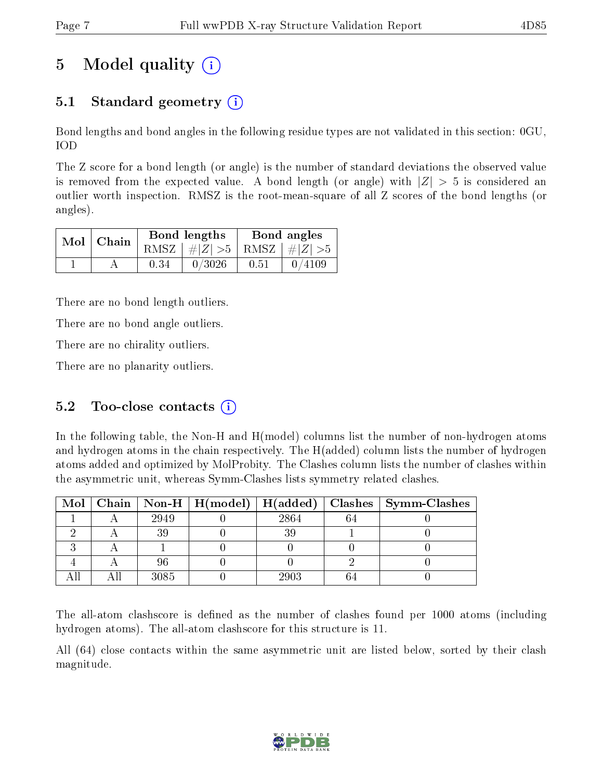# 5 Model quality  $(i)$

## 5.1 Standard geometry  $\overline{()}$

Bond lengths and bond angles in the following residue types are not validated in this section: 0GU, IOD

The Z score for a bond length (or angle) is the number of standard deviations the observed value is removed from the expected value. A bond length (or angle) with  $|Z| > 5$  is considered an outlier worth inspection. RMSZ is the root-mean-square of all Z scores of the bond lengths (or angles).

|  | $Mol$   Chain |      | Bond lengths                    | Bond angles |        |  |
|--|---------------|------|---------------------------------|-------------|--------|--|
|  |               |      | RMSZ $ #Z  > 5$ RMSZ $ #Z  > 5$ |             |        |  |
|  |               | 0.34 | 0/3026                          | 0.51        | 0/4109 |  |

There are no bond length outliers.

There are no bond angle outliers.

There are no chirality outliers.

There are no planarity outliers.

### 5.2 Too-close contacts  $(i)$

In the following table, the Non-H and H(model) columns list the number of non-hydrogen atoms and hydrogen atoms in the chain respectively. The H(added) column lists the number of hydrogen atoms added and optimized by MolProbity. The Clashes column lists the number of clashes within the asymmetric unit, whereas Symm-Clashes lists symmetry related clashes.

|  |      |      | Mol   Chain   Non-H   H(model)   H(added)   Clashes   Symm-Clashes |
|--|------|------|--------------------------------------------------------------------|
|  | 2949 | 2864 |                                                                    |
|  |      |      |                                                                    |
|  |      |      |                                                                    |
|  |      |      |                                                                    |
|  | 3085 | 2903 |                                                                    |

The all-atom clashscore is defined as the number of clashes found per 1000 atoms (including hydrogen atoms). The all-atom clashscore for this structure is 11.

All (64) close contacts within the same asymmetric unit are listed below, sorted by their clash magnitude.

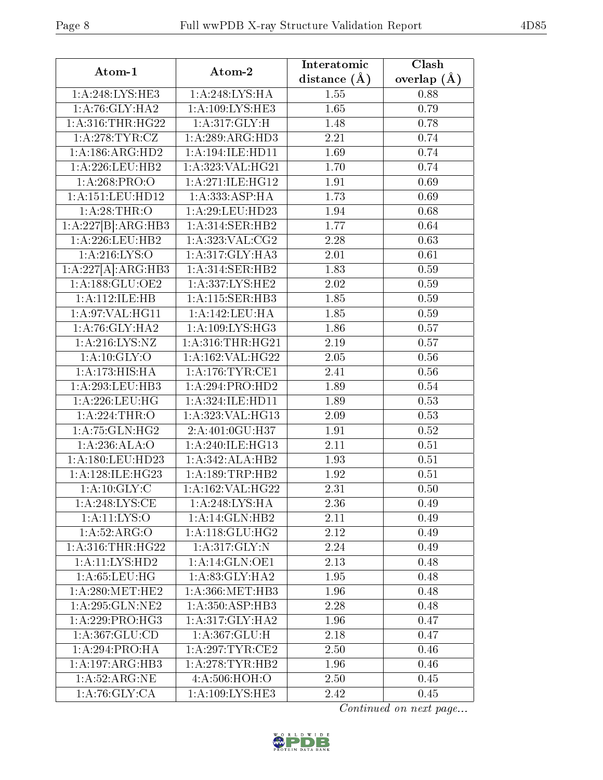| Atom-1                     | Atom-2                                 | Interatomic    | Clash                  |
|----------------------------|----------------------------------------|----------------|------------------------|
|                            |                                        | distance $(A)$ | overlap $(\AA)$        |
| 1: A:248:LYS:HE3           | 1:A:248:LYS:HA                         | 1.55           | 0.88                   |
| 1: A:76: GLY: HA2          | 1:A:109:LYS:HE3                        | 1.65           | 0.79                   |
| 1:A:316:THR:HG22           | 1: A:317: GLY: H                       | 1.48           | 0.78                   |
| 1: A:278:TYR:CZ            | 1:A:289:ARG:HD3                        | 2.21           | 0.74                   |
| 1: A: 186: ARG: HD2        | 1:A:194:ILE:HD11                       | 1.69           | 0.74                   |
| 1: A:226:LEU:HB2           | 1: A:323: VAL:HG21                     | 1.70           | 0.74                   |
| 1:A:268:PRO:O              | 1: A:271: ILE: HG12                    | 1.91           | 0.69                   |
| 1:A:151:LEU:HD12           | 1:A:333:ASP:HA                         | 1.73           | 0.69                   |
| 1:A:28:THR:O               | 1:A:29:LEU:HD23                        | 1.94           | 0.68                   |
| 1:A:227[B]:ARG:HB3         | 1:A:314:SER:HB2                        | 1.77           | 0.64                   |
| 1:A:226:LEU:HB2            | 1: A: 323: VAL: CG2                    | 2.28           | 0.63                   |
| 1: A:216: LYS:O            | 1: A:317: GLY:HA3                      | 2.01           | 0.61                   |
| 1:A:227[A]:ARG:HB3         | $1: A:314: \overline{\text{SER:H}} B2$ | 1.83           | 0.59                   |
| 1: A: 188: GLU: OE2        | 1: A: 337: LYS: HE2                    | 2.02           | 0.59                   |
| 1:A:112:ILE:HB             | 1:A:115:SER:HB3                        | 1.85           | 0.59                   |
| 1:A:97:VAL:HG11            | 1:A:142:LEU:HA                         | 1.85           | 0.59                   |
| 1: A:76: GLY: HA2          | 1:A:109:LYS:HG3                        | 1.86           | 0.57                   |
| $1:$ A:216:LYS:NZ          | 1: A:316:THR:HG21                      | 2.19           | 0.57                   |
| 1: A:10: GLY:O             | 1:A:162:VAL:HG22                       | 2.05           | 0.56                   |
| 1:A:173:HIS:HA             | 1: A:176: TYR: CE1                     | 2.41           | 0.56                   |
| 1:A:293:LEU:HB3            | 1:A:294:PRO:HD2                        | 1.89           | 0.54                   |
| $1:$ A:226:LEU:HG          | 1: A: 324: ILE: HD11                   | 1.89           | 0.53                   |
| 1:A:224:THR:O              | 1:A:323:VAL:HG13                       | 2.09           | 0.53                   |
| 1: A:75: GLN: HG2          | 2:A:401:0GU:H37                        | 1.91           | 0.52                   |
| 1:A:236:ALA:O              | 1:A:240:ILE:HG13                       | 2.11           | 0.51                   |
| 1: A: 180: LEU: HD23       | 1:A:342:ALA:HB2                        | 1.93           | 0.51                   |
| 1:A:128:ILE:HG23           | 1: A: 189: TRP: HB2                    | 1.92           | 0.51                   |
| 1:A:10:GLY:C               | 1: A: 162: VAL: HG22                   | 2.31           | 0.50                   |
| 1: A:248: LYS: CE          | 1:A:248:LYS:HA                         | 2.36           | 0.49                   |
| 1: A:11:LYS:O              | 1:A:14:GLN:HB2                         | 2.11           | 0.49                   |
| 1: A:52: ARG:O             | 1: A:118: GLU: HG2                     | 2.12           | 0.49                   |
| 1: A:316:THR:HG22          | 1: A:317: GLY:N                        | 2.24           | 0.49                   |
| 1:A:11:LYS:HD2             | 1:A:14:GLN:OE1                         | 2.13           | 0.48                   |
| 1: A:65:LEU:HG             | 1:A:83:GLY:HA2                         | 1.95           | 0.48                   |
| 1: A:280:MET:HE2           | 1: A: 366: MET: HB3                    | 1.96           | 0.48                   |
| 1: A:295: GLN:NE2          | 1:A:350:ASP:HB3                        | 2.28           | 0.48                   |
| 1: A:229: PRO:HG3          | 1: A:317: GLY: HA2                     | 1.96           | 0.47                   |
| 1:A:367:GLU:CD             | 1:A:367:GLU:H                          | 2.18           | 0.47                   |
| 1: A:294:PRO:HA            | 1: A:297:TYR:CE2                       | 2.50           | 0.46                   |
| 1:A:197:ARG:HB3            | 1: A:278:TYR:HB2                       | 1.96           | 0.46                   |
| 1: A:52: ARG:NE            | 4:A:506:HOH:O                          | 2.50           | 0.45                   |
| $1:\overline{A:76:GLY:CA}$ | 1:A:109:LYS:HE3                        | 2.42           | 0.45                   |
|                            |                                        |                | Continued on next page |

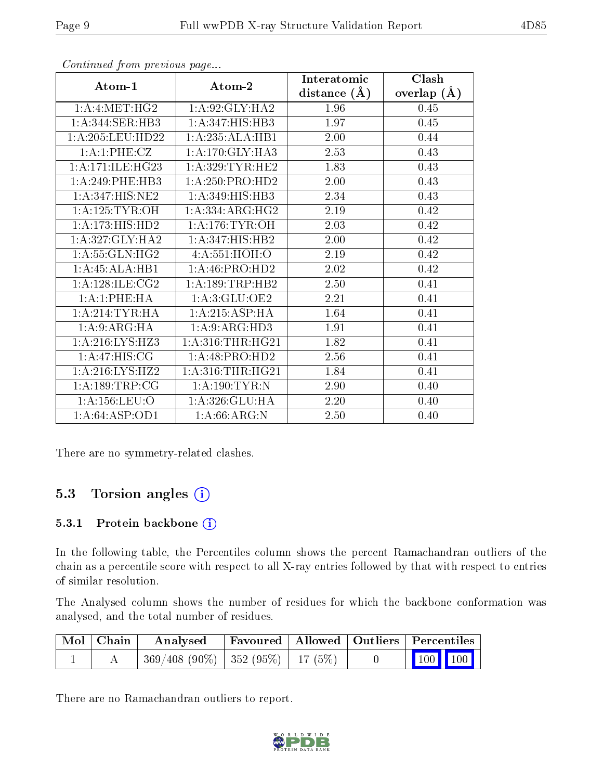|                                     |                     | Interatomic    | Clash         |
|-------------------------------------|---------------------|----------------|---------------|
| Atom-1                              | Atom-2              | distance $(A)$ | overlap $(A)$ |
| 1: A: 4: MET:HG2                    | 1: A:92: GLY: HA2   | 1.96           | 0.45          |
| $1:$ A:344:SER:HB3                  | 1:A:347:HIS:HB3     | 1.97           | 0.45          |
| 1:A:205:LEU:HD22                    | 1:A:235:ALA:HB1     | 2.00           | 0.44          |
| 1:A:1:PHE:CZ                        | 1: A:170: GLY:HA3   | 2.53           | 0.43          |
| 1: A:171: ILE: HG23                 | 1: A:329:TYR:HE2    | 1.83           | 0.43          |
| $1: A:249:$ PHE:HB3                 | 1:A:250:PRO:HD2     | 2.00           | 0.43          |
| $1:A:347:\overline{\text{HIS:NE2}}$ | 1: A:349: HIS: HB3  | 2.34           | 0.43          |
| 1: A:125: TYR:OH                    | 1:A:334:ARG:HG2     | 2.19           | 0.42          |
| 1: A:173:HIS:HD2                    | 1: A:176: TYR:OH    | 2.03           | 0.42          |
| 1: A:327: GLY:HA2                   | 1:A:347:HIS:HB2     | 2.00           | 0.42          |
| 1: A:55: GLN:HG2                    | 4: A:551:HOH:O      | 2.19           | 0.42          |
| 1:A:45:ALA:HB1                      | 1:A:46:PRO:HD2      | 2.02           | 0.42          |
| 1: A:128: ILE: CG2                  | 1: A: 189: TRP: HB2 | 2.50           | 0.41          |
| 1:A:1:PHE:HA                        | 1: A:3: GLU:OE2     | 2.21           | 0.41          |
| 1: A:214:TYR:HA                     | 1:A:215:ASP:HA      | 1.64           | 0.41          |
| 1:A:9:ARG:HA                        | 1: A:9: ARG: HD3    | 1.91           | 0.41          |
| 1:A:216:LYS:HZ3                     | 1: A:316:THR:HG21   | 1.82           | 0.41          |
| 1:A:47:HIS:CG                       | 1:A:48:PRO:HD2      | 2.56           | 0.41          |
| 1:A:216:LYS:HZ2                     | 1: A:316:THR:HG21   | 1.84           | 0.41          |
| 1: A: 189: TRP: CG                  | 1: A:190: TYR:N     | 2.90           | 0.40          |
| 1:A:156:LEU:O                       | 1:A:326:GLU:HA      | $2.20\,$       | 0.40          |
| 1: A:64: ASP:OD1                    | 1: A:66: ARG: N     | 2.50           | 0.40          |

Continued from previous page...

There are no symmetry-related clashes.

### 5.3 Torsion angles (i)

#### 5.3.1 Protein backbone (i)

In the following table, the Percentiles column shows the percent Ramachandran outliers of the chain as a percentile score with respect to all X-ray entries followed by that with respect to entries of similar resolution.

The Analysed column shows the number of residues for which the backbone conformation was analysed, and the total number of residues.

| $\sqrt{\text{Mol}}$ Chain | Analysed                                 |  | Favoured   Allowed   Outliers   Percentiles                |
|---------------------------|------------------------------------------|--|------------------------------------------------------------|
|                           | $369/408$ (90\%)   352 (95\%)   17 (5\%) |  | $\begin{array}{ c c c c }\n\hline\n100 & 100\n\end{array}$ |

There are no Ramachandran outliers to report.

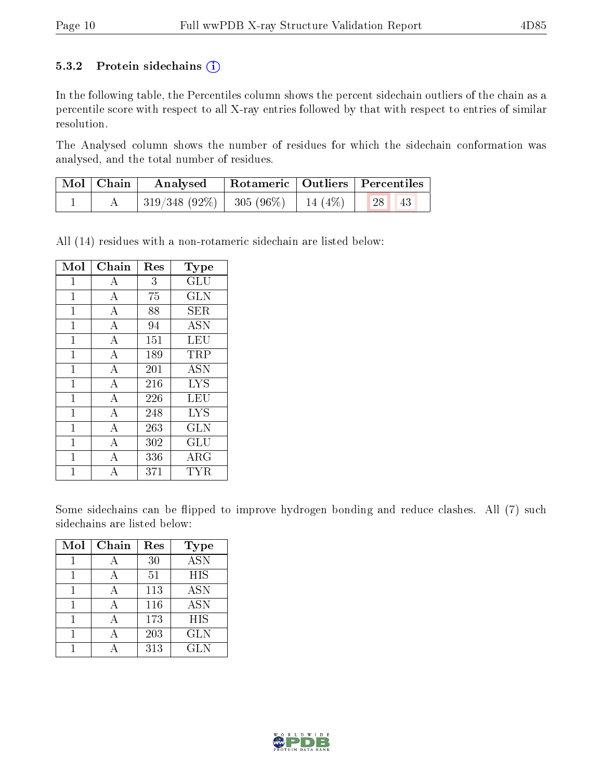#### 5.3.2 Protein sidechains  $(i)$

In the following table, the Percentiles column shows the percent sidechain outliers of the chain as a percentile score with respect to all X-ray entries followed by that with respect to entries of similar resolution.

The Analysed column shows the number of residues for which the sidechain conformation was analysed, and the total number of residues.

| Mol   Chain | $\boldsymbol{\mathrm{Analysed}}$                               | Rotameric   Outliers   Percentiles |    |  |
|-------------|----------------------------------------------------------------|------------------------------------|----|--|
|             | $\mid$ 319/348 (92%) $\mid$ 305 (96%) $\mid$ 14 (4%) $\mid$ 28 |                                    | 43 |  |

All (14) residues with a non-rotameric sidechain are listed below:

| Mol          | Chain            | Res | Type         |
|--------------|------------------|-----|--------------|
| $\mathbf{1}$ | A                | 3   | GLU          |
| $\mathbf{1}$ | A                | 75  | <b>GLN</b>   |
| $\mathbf{1}$ | $\bf{A}$         | 88  | SER.         |
| $\mathbf{1}$ | A                | 94  | <b>ASN</b>   |
| $\mathbf{1}$ | $\boldsymbol{A}$ | 151 | LEU          |
| $\mathbf{1}$ | A                | 189 | TRP          |
| $\mathbf{1}$ | A                | 201 | <b>ASN</b>   |
| 1            | A                | 216 | <b>LYS</b>   |
| $\mathbf 1$  | $\boldsymbol{A}$ | 226 | LEU          |
| 1            | A                | 248 | <b>LYS</b>   |
| $\mathbf{1}$ | A                | 263 | <b>GLN</b>   |
| 1            | A                | 302 | GLU          |
| 1            | А                | 336 | $\rm{ARG}$   |
| 1            | А                | 371 | $_{\rm TYR}$ |

Some sidechains can be flipped to improve hydrogen bonding and reduce clashes. All (7) such sidechains are listed below:

| Mol | Chain | Res | <b>Type</b> |
|-----|-------|-----|-------------|
|     | А     | 30  | <b>ASN</b>  |
|     |       | 51  | HIS         |
|     |       | 113 | <b>ASN</b>  |
|     |       | 116 | <b>ASN</b>  |
|     |       | 173 | HIS         |
|     |       | 203 | <b>GLN</b>  |
|     |       | 313 | <b>GLN</b>  |

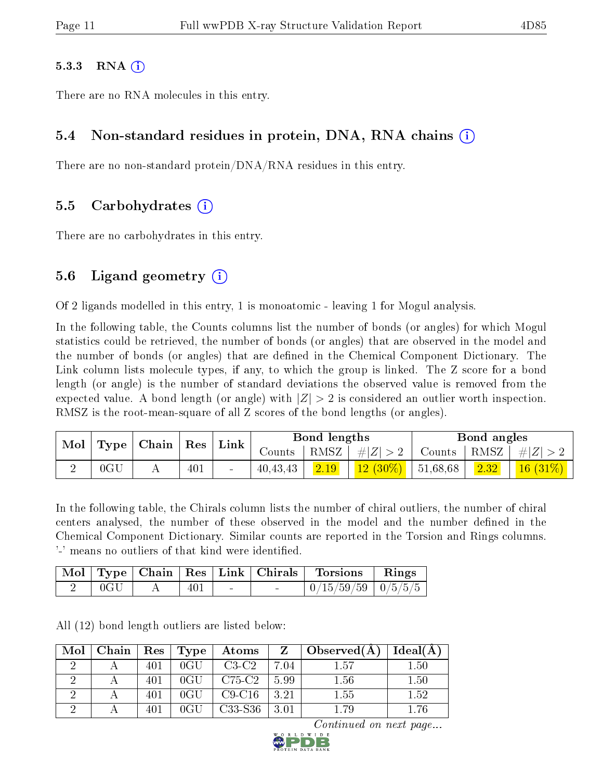#### $5.3.3$  RNA  $(i)$

There are no RNA molecules in this entry.

#### 5.4 Non-standard residues in protein, DNA, RNA chains (i)

There are no non-standard protein/DNA/RNA residues in this entry.

#### 5.5 Carbohydrates (i)

There are no carbohydrates in this entry.

#### 5.6 Ligand geometry  $(i)$

Of 2 ligands modelled in this entry, 1 is monoatomic - leaving 1 for Mogul analysis.

In the following table, the Counts columns list the number of bonds (or angles) for which Mogul statistics could be retrieved, the number of bonds (or angles) that are observed in the model and the number of bonds (or angles) that are defined in the Chemical Component Dictionary. The Link column lists molecule types, if any, to which the group is linked. The Z score for a bond length (or angle) is the number of standard deviations the observed value is removed from the expected value. A bond length (or angle) with  $|Z| > 2$  is considered an outlier worth inspection. RMSZ is the root-mean-square of all Z scores of the bond lengths (or angles).

| Mol | Type            | Chain | Res | ' Link |          | Bond lengths |             |          | Bond angles |            |
|-----|-----------------|-------|-----|--------|----------|--------------|-------------|----------|-------------|------------|
|     |                 |       |     |        | Counts   | RMSZ         | $\# Z  > 2$ | Counts   | ' RMSZ      | $\# Z $    |
|     | 0 <sub>CI</sub> |       | 401 | $\sim$ | 40.43.43 | 2.19         | $12(30\%)$  | 51,68,68 | 2.32        | $16(31\%)$ |

In the following table, the Chirals column lists the number of chiral outliers, the number of chiral centers analysed, the number of these observed in the model and the number defined in the Chemical Component Dictionary. Similar counts are reported in the Torsion and Rings columns. '-' means no outliers of that kind were identified.

|     |     |                | Mol   Type   Chain   Res   Link   Chirals   Torsions   Rings |  |
|-----|-----|----------------|--------------------------------------------------------------|--|
| 0GL | 401 | <b>Service</b> | $0/15/59/59$   $0/5/5/5$                                     |  |

All (12) bond length outliers are listed below:

| Mol | Chain | $\mid$ Res $\mid$ | $\top$ Type   | Atoms    | $Z \perp$ | $\mid$ Observed(A) | Ideal(A) |
|-----|-------|-------------------|---------------|----------|-----------|--------------------|----------|
|     |       | 401               | $0 \text{GU}$ | $C3-C2$  | 7.04      | 1.57               | 1.50     |
|     |       | 401               | $0 \text{GU}$ | $C75-C2$ | 5.99      | 1.56               | 1.50     |
|     |       | 401               | $0 \text{GU}$ | $C9-C16$ | 3.21      | 1.55               | 1.52     |
|     |       | 401               | 0GH           | C33-S36  | 3.01      | 1.79               | 1.76     |

Continued on next page...

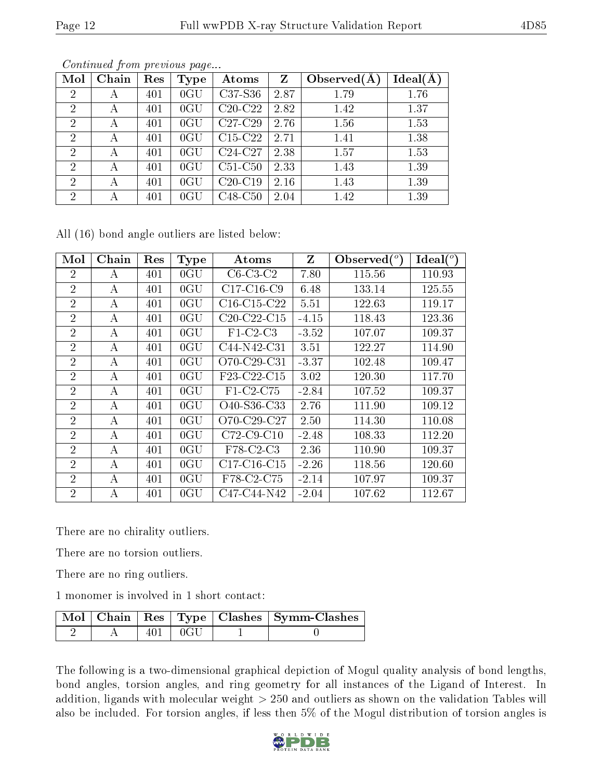| Mol            | Chain | Res | Type            | Atoms         | Z    | Observed $(A)$ | Ideal(Å |
|----------------|-------|-----|-----------------|---------------|------|----------------|---------|
| $\overline{2}$ | A     | 401 | $0 \text{GU}$   | C37-S36       | 2.87 | 1.79           | 1.76    |
| $\overline{2}$ | А     | 401 | $0 \text{GU}$   | $C20-C22$     | 2.82 | 1.42           | 1.37    |
| $\overline{2}$ | А     | 401 | $0 \text{GU}$   | $C27-C29$     | 2.76 | 1.56           | 1.53    |
| $\overline{2}$ | А     | 401 | $0 \text{GU}$   | $C15-C22$     | 2.71 | 1.41           | 1.38    |
| $\overline{2}$ | А     | 401 | $0 \text{GU}$   | C24-C27       | 2.38 | 1.57           | 1.53    |
| $\overline{2}$ | А     | 401 | $0 \text{GU}$   | $C51-C50$     | 2.33 | 1.43           | 1.39    |
| $\overline{2}$ | А     | 401 | $0 \mathrm{GU}$ | $C20-C19$     | 2.16 | 1.43           | 1.39    |
| $\overline{2}$ | А     | 401 | $0 \mathrm{GU}$ | $C48$ - $C50$ | 2.04 | 1.42           | 1.39    |

Continued from previous page...

All (16) bond angle outliers are listed below:

| Mol            | Chain | Res | <b>Type</b>   | Atoms         | Z       | Observed $(°)$ | Ideal $(^\circ)$ |
|----------------|-------|-----|---------------|---------------|---------|----------------|------------------|
| $\overline{2}$ | А     | 401 | $0 \text{GU}$ | $C6-C3-C2$    | 7.80    | 115.56         | 110.93           |
| $\overline{2}$ | А     | 401 | $0 \text{GU}$ | $C17-C16-C9$  | 6.48    | 133.14         | 125.55           |
| $\overline{2}$ | А     | 401 | $0 \text{GU}$ | $C16-C15-C22$ | 5.51    | 122.63         | 119.17           |
| $\overline{2}$ | А     | 401 | $0 \text{GU}$ | $C20-C22-C15$ | $-4.15$ | 118.43         | 123.36           |
| $\overline{2}$ | А     | 401 | $0 \text{GU}$ | $F1-C2-C3$    | $-3.52$ | 107.07         | 109.37           |
| $\overline{2}$ | А     | 401 | $0 \text{GU}$ | C44-N42-C31   | 3.51    | 122.27         | 114.90           |
| $\overline{2}$ | А     | 401 | $0 \text{GU}$ | O70-C29-C31   | $-3.37$ | 102.48         | 109.47           |
| $\overline{2}$ | A     | 401 | $0 \text{GU}$ | F23-C22-C15   | 3.02    | 120.30         | 117.70           |
| $\overline{2}$ | А     | 401 | $0 \text{GU}$ | F1-C2-C75     | $-2.84$ | 107.52         | 109.37           |
| $\overline{2}$ | А     | 401 | $0 \text{GU}$ | O40-S36-C33   | 2.76    | 111.90         | 109.12           |
| $\overline{2}$ | А     | 401 | $0 \text{GU}$ | $O70-C29-C27$ | 2.50    | 114.30         | 110.08           |
| $\overline{2}$ | A     | 401 | $0 \text{GU}$ | $C72$ -C9-C10 | $-2.48$ | 108.33         | 112.20           |
| $\overline{2}$ | А     | 401 | $0 \text{GU}$ | F78-C2-C3     | 2.36    | 110.90         | 109.37           |
| $\overline{2}$ | A     | 401 | $0 \text{GU}$ | $C17-C16-C15$ | $-2.26$ | 118.56         | 120.60           |
| $\overline{2}$ | А     | 401 | $0 \text{GU}$ | F78-C2-C75    | $-2.14$ | 107.97         | 109.37           |
| $\overline{2}$ | А     | 401 | $0 \text{GU}$ | C47-C44-N42   | $-2.04$ | 107.62         | 112.67           |

There are no chirality outliers.

There are no torsion outliers.

There are no ring outliers.

1 monomer is involved in 1 short contact:

|  |       |        | Mol   Chain   Res   Type   Clashes   Symm-Clashes |
|--|-------|--------|---------------------------------------------------|
|  | 401 - | -1 0GU |                                                   |

The following is a two-dimensional graphical depiction of Mogul quality analysis of bond lengths, bond angles, torsion angles, and ring geometry for all instances of the Ligand of Interest. In addition, ligands with molecular weight > 250 and outliers as shown on the validation Tables will also be included. For torsion angles, if less then 5% of the Mogul distribution of torsion angles is

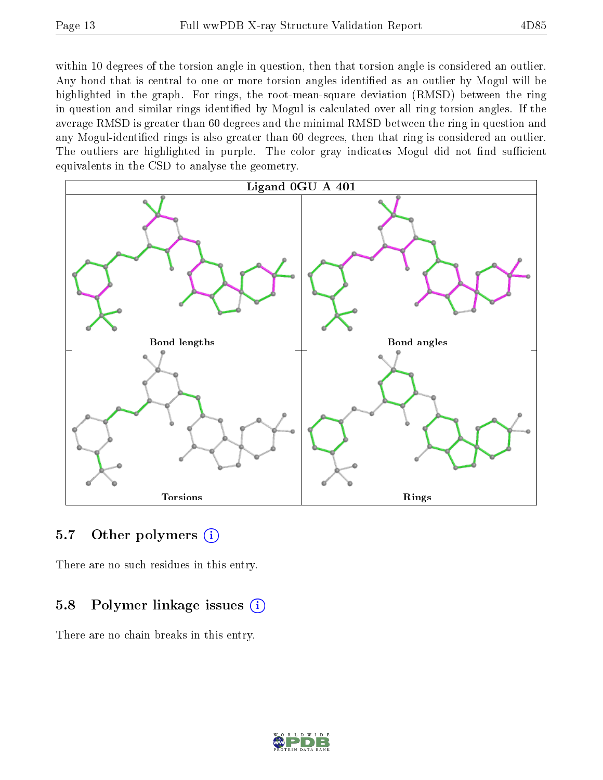within 10 degrees of the torsion angle in question, then that torsion angle is considered an outlier. Any bond that is central to one or more torsion angles identified as an outlier by Mogul will be highlighted in the graph. For rings, the root-mean-square deviation (RMSD) between the ring in question and similar rings identified by Mogul is calculated over all ring torsion angles. If the average RMSD is greater than 60 degrees and the minimal RMSD between the ring in question and any Mogul-identified rings is also greater than 60 degrees, then that ring is considered an outlier. The outliers are highlighted in purple. The color gray indicates Mogul did not find sufficient equivalents in the CSD to analyse the geometry.



#### 5.7 [O](https://www.wwpdb.org/validation/2017/XrayValidationReportHelp#nonstandard_residues_and_ligands)ther polymers (i)

There are no such residues in this entry.

### 5.8 Polymer linkage issues (i)

There are no chain breaks in this entry.

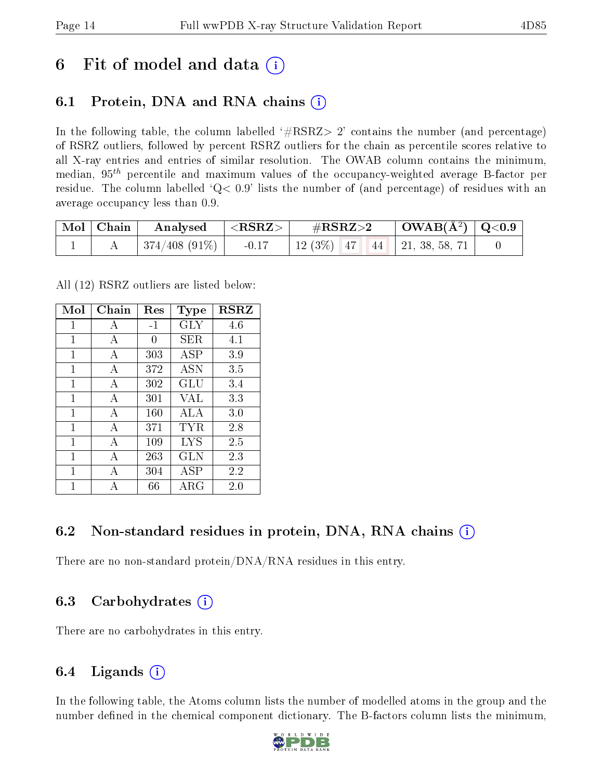## 6 Fit of model and data  $\circ$

### 6.1 Protein, DNA and RNA chains (i)

In the following table, the column labelled  $#RSRZ>2'$  contains the number (and percentage) of RSRZ outliers, followed by percent RSRZ outliers for the chain as percentile scores relative to all X-ray entries and entries of similar resolution. The OWAB column contains the minimum, median,  $95<sup>th</sup>$  percentile and maximum values of the occupancy-weighted average B-factor per residue. The column labelled  $Q< 0.9$  lists the number of (and percentage) of residues with an average occupancy less than 0.9.

| $\vert$ Mol $\vert$ Chain $\vert$ | Analysed $ \langle \text{RSRZ}\rangle $ | $\rm \#RSRZ{>}2$                   | $\vert$ OWAB( $\rm{\AA^2}$ ) $\vert$ Q<0.9 $\vert$ |  |
|-----------------------------------|-----------------------------------------|------------------------------------|----------------------------------------------------|--|
|                                   | $ 374/408(91\%) $ -0.17                 | 12 (3%)   47   44   21, 38, 58, 71 |                                                    |  |

All (12) RSRZ outliers are listed below:

| Mol | Chain        | $\operatorname{Res}% \left( \mathcal{N}\right) \equiv\operatorname{Res}(\mathcal{N}_{0})\cap\mathcal{N}_{1}$ | Type        | <b>RSRZ</b> |
|-----|--------------|--------------------------------------------------------------------------------------------------------------|-------------|-------------|
| 1   | A            | $-1$                                                                                                         | GLY         | 4.6         |
| 1   | A            | 0                                                                                                            | SER.        | 4.1         |
| 1   | A            | 303                                                                                                          | <b>ASP</b>  | 3.9         |
| 1   | А            | 372                                                                                                          | <b>ASN</b>  | 3.5         |
| 1   | A            | 302                                                                                                          | GLU         | 3.4         |
| 1   | А            | 301                                                                                                          | VAL         | 3.3         |
| 1   | $\mathbf{A}$ | 160                                                                                                          | ALA         | 3.0         |
| 1   | А            | 371                                                                                                          | TYR.        | 2.8         |
| 1   | А            | 109                                                                                                          | <b>LYS</b>  | 2.5         |
| 1   | А            | 263                                                                                                          | GLN         | 2.3         |
| 1   | А            | 304                                                                                                          | <b>ASP</b>  | 2.2         |
| 1   |              | 66                                                                                                           | ${\rm ARG}$ | 2.0         |

### 6.2 Non-standard residues in protein, DNA, RNA chains  $(i)$

There are no non-standard protein/DNA/RNA residues in this entry.

### 6.3 Carbohydrates (i)

There are no carbohydrates in this entry.

## 6.4 Ligands  $(i)$

In the following table, the Atoms column lists the number of modelled atoms in the group and the number defined in the chemical component dictionary. The B-factors column lists the minimum,